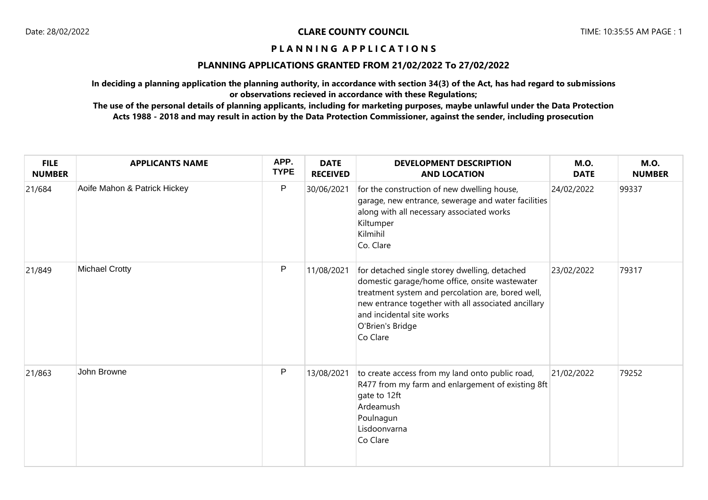## **PLANNING APPLICATIONS GRANTED FROM 21/02/2022 To 27/02/2022**

**In deciding a planning application the planning authority, in accordance with section 34(3) of the Act, has had regard to submissions or observations recieved in accordance with these Regulations;**

| <b>FILE</b><br><b>NUMBER</b> | <b>APPLICANTS NAME</b>       | APP.<br><b>TYPE</b> | <b>DATE</b><br><b>RECEIVED</b> | <b>DEVELOPMENT DESCRIPTION</b><br><b>AND LOCATION</b>                                                                                                                                                                                                                    | <b>M.O.</b><br><b>DATE</b> | <b>M.O.</b><br><b>NUMBER</b> |
|------------------------------|------------------------------|---------------------|--------------------------------|--------------------------------------------------------------------------------------------------------------------------------------------------------------------------------------------------------------------------------------------------------------------------|----------------------------|------------------------------|
| 21/684                       | Aoife Mahon & Patrick Hickey | P                   | 30/06/2021                     | for the construction of new dwelling house,<br>garage, new entrance, sewerage and water facilities<br>along with all necessary associated works<br>Kiltumper<br>Kilmihil<br>Co. Clare                                                                                    | 24/02/2022                 | 99337                        |
| 21/849                       | <b>Michael Crotty</b>        | P                   | 11/08/2021                     | for detached single storey dwelling, detached<br>domestic garage/home office, onsite wastewater<br>treatment system and percolation are, bored well,<br>new entrance together with all associated ancillary<br>and incidental site works<br>O'Brien's Bridge<br>Co Clare | 23/02/2022                 | 79317                        |
| 21/863                       | John Browne                  | P                   | 13/08/2021                     | to create access from my land onto public road,<br>R477 from my farm and enlargement of existing 8ft<br>gate to 12ft<br>Ardeamush<br>Poulnagun<br>Lisdoonvarna<br>Co Clare                                                                                               | 21/02/2022                 | 79252                        |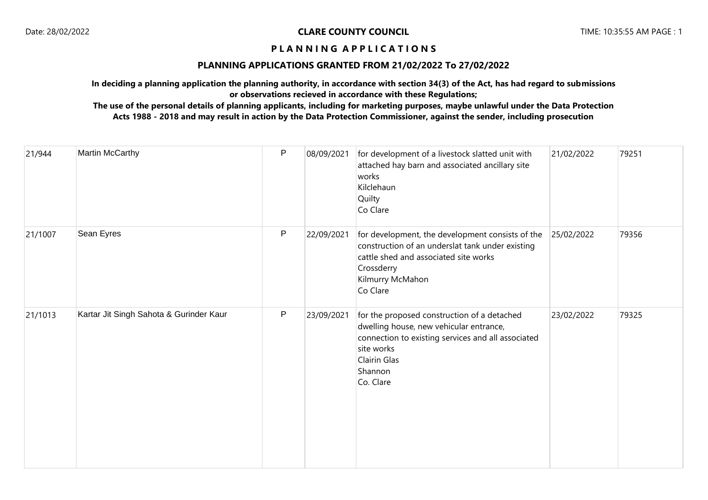## **PLANNING APPLICATIONS GRANTED FROM 21/02/2022 To 27/02/2022**

**In deciding a planning application the planning authority, in accordance with section 34(3) of the Act, has had regard to submissions or observations recieved in accordance with these Regulations;**

| 21/944  | Martin McCarthy                         | $\mathsf{P}$ | 08/09/2021 | for development of a livestock slatted unit with<br>attached hay barn and associated ancillary site<br>works<br>Kilclehaun<br>Quilty<br>Co Clare                                                   | 21/02/2022 | 79251 |
|---------|-----------------------------------------|--------------|------------|----------------------------------------------------------------------------------------------------------------------------------------------------------------------------------------------------|------------|-------|
| 21/1007 | Sean Eyres                              | P            | 22/09/2021 | for development, the development consists of the<br>construction of an underslat tank under existing<br>cattle shed and associated site works<br>Crossderry<br>Kilmurry McMahon<br>Co Clare        | 25/02/2022 | 79356 |
| 21/1013 | Kartar Jit Singh Sahota & Gurinder Kaur | $\mathsf{P}$ | 23/09/2021 | for the proposed construction of a detached<br>dwelling house, new vehicular entrance,<br>connection to existing services and all associated<br>site works<br>Clairin Glas<br>Shannon<br>Co. Clare | 23/02/2022 | 79325 |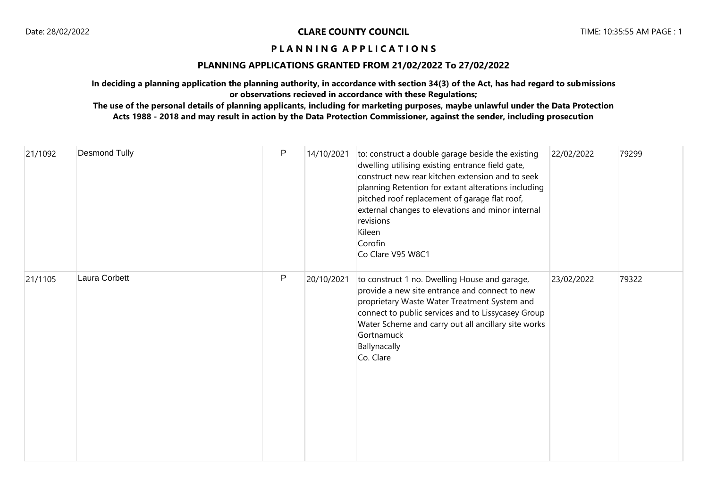## **PLANNING APPLICATIONS GRANTED FROM 21/02/2022 To 27/02/2022**

**In deciding a planning application the planning authority, in accordance with section 34(3) of the Act, has had regard to submissions or observations recieved in accordance with these Regulations;**

| 21/1092 | <b>Desmond Tully</b> | P | 14/10/2021 | to: construct a double garage beside the existing<br>dwelling utilising existing entrance field gate,<br>construct new rear kitchen extension and to seek<br>planning Retention for extant alterations including<br>pitched roof replacement of garage flat roof,<br>external changes to elevations and minor internal<br>revisions<br>Kileen<br>Corofin<br>Co Clare V95 W8C1 | 22/02/2022 | 79299 |
|---------|----------------------|---|------------|-------------------------------------------------------------------------------------------------------------------------------------------------------------------------------------------------------------------------------------------------------------------------------------------------------------------------------------------------------------------------------|------------|-------|
| 21/1105 | Laura Corbett        | P | 20/10/2021 | to construct 1 no. Dwelling House and garage,<br>provide a new site entrance and connect to new<br>proprietary Waste Water Treatment System and<br>connect to public services and to Lissycasey Group<br>Water Scheme and carry out all ancillary site works<br>Gortnamuck<br>Ballynacally<br>Co. Clare                                                                       | 23/02/2022 | 79322 |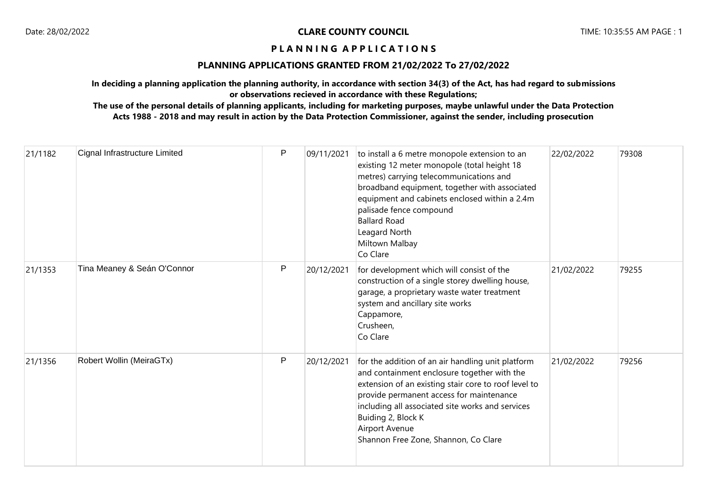## **PLANNING APPLICATIONS GRANTED FROM 21/02/2022 To 27/02/2022**

**In deciding a planning application the planning authority, in accordance with section 34(3) of the Act, has had regard to submissions or observations recieved in accordance with these Regulations;**

| 21/1182 | Cignal Infrastructure Limited | $\mathsf{P}$ | 09/11/2021 | to install a 6 metre monopole extension to an<br>existing 12 meter monopole (total height 18<br>metres) carrying telecommunications and<br>broadband equipment, together with associated<br>equipment and cabinets enclosed within a 2.4m<br>palisade fence compound<br><b>Ballard Road</b><br>Leagard North<br>Miltown Malbay<br>Co Clare | 22/02/2022 | 79308 |
|---------|-------------------------------|--------------|------------|--------------------------------------------------------------------------------------------------------------------------------------------------------------------------------------------------------------------------------------------------------------------------------------------------------------------------------------------|------------|-------|
| 21/1353 | Tina Meaney & Seán O'Connor   | $\mathsf{P}$ | 20/12/2021 | for development which will consist of the<br>construction of a single storey dwelling house,<br>garage, a proprietary waste water treatment<br>system and ancillary site works<br>Cappamore,<br>Crusheen,<br>Co Clare                                                                                                                      | 21/02/2022 | 79255 |
| 21/1356 | Robert Wollin (MeiraGTx)      | $\mathsf{P}$ | 20/12/2021 | for the addition of an air handling unit platform<br>and containment enclosure together with the<br>extension of an existing stair core to roof level to<br>provide permanent access for maintenance<br>including all associated site works and services<br>Buiding 2, Block K<br>Airport Avenue<br>Shannon Free Zone, Shannon, Co Clare   | 21/02/2022 | 79256 |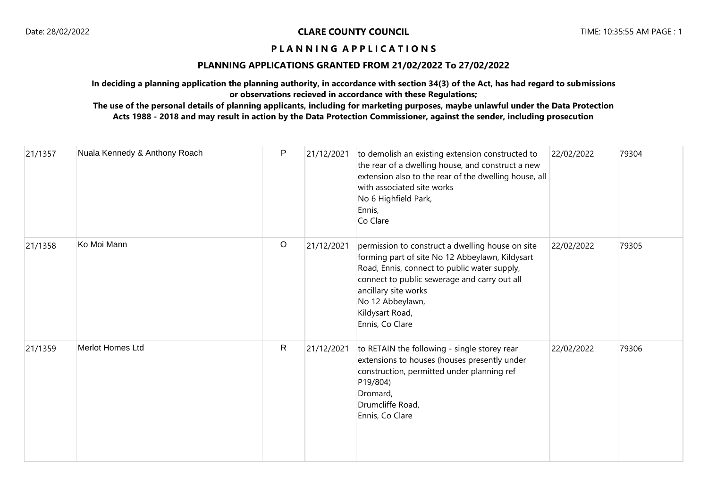## **PLANNING APPLICATIONS GRANTED FROM 21/02/2022 To 27/02/2022**

**In deciding a planning application the planning authority, in accordance with section 34(3) of the Act, has had regard to submissions or observations recieved in accordance with these Regulations;**

| 21/1357 | Nuala Kennedy & Anthony Roach | P            | 21/12/2021 | to demolish an existing extension constructed to<br>the rear of a dwelling house, and construct a new<br>extension also to the rear of the dwelling house, all<br>with associated site works<br>No 6 Highfield Park,<br>Ennis,<br>Co Clare                                            | 22/02/2022 | 79304 |
|---------|-------------------------------|--------------|------------|---------------------------------------------------------------------------------------------------------------------------------------------------------------------------------------------------------------------------------------------------------------------------------------|------------|-------|
| 21/1358 | Ko Moi Mann                   | $\circ$      | 21/12/2021 | permission to construct a dwelling house on site<br>forming part of site No 12 Abbeylawn, Kildysart<br>Road, Ennis, connect to public water supply,<br>connect to public sewerage and carry out all<br>ancillary site works<br>No 12 Abbeylawn,<br>Kildysart Road,<br>Ennis, Co Clare | 22/02/2022 | 79305 |
| 21/1359 | Merlot Homes Ltd              | $\mathsf{R}$ | 21/12/2021 | to RETAIN the following - single storey rear<br>extensions to houses (houses presently under<br>construction, permitted under planning ref<br>P19/804)<br>Dromard,<br>Drumcliffe Road,<br>Ennis, Co Clare                                                                             | 22/02/2022 | 79306 |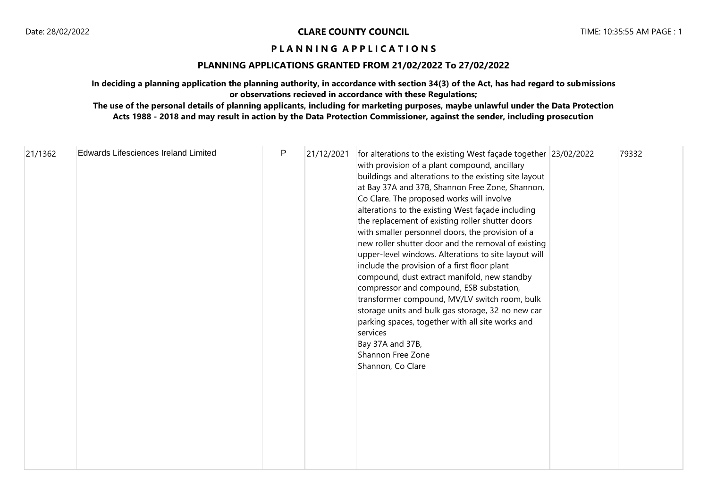## **PLANNING APPLICATIONS GRANTED FROM 21/02/2022 To 27/02/2022**

**In deciding a planning application the planning authority, in accordance with section 34(3) of the Act, has had regard to submissions or observations recieved in accordance with these Regulations;**

| 21/1362 | <b>Edwards Lifesciences Ireland Limited</b> | $\mathsf{P}$ | 21/12/2021 | for alterations to the existing West façade together 23/02/2022<br>with provision of a plant compound, ancillary<br>buildings and alterations to the existing site layout<br>at Bay 37A and 37B, Shannon Free Zone, Shannon,<br>Co Clare. The proposed works will involve<br>alterations to the existing West façade including<br>the replacement of existing roller shutter doors<br>with smaller personnel doors, the provision of a<br>new roller shutter door and the removal of existing<br>upper-level windows. Alterations to site layout will<br>include the provision of a first floor plant<br>compound, dust extract manifold, new standby<br>compressor and compound, ESB substation,<br>transformer compound, MV/LV switch room, bulk<br>storage units and bulk gas storage, 32 no new car<br>parking spaces, together with all site works and<br>services<br>Bay 37A and 37B,<br>Shannon Free Zone<br>Shannon, Co Clare |  | 79332 |
|---------|---------------------------------------------|--------------|------------|---------------------------------------------------------------------------------------------------------------------------------------------------------------------------------------------------------------------------------------------------------------------------------------------------------------------------------------------------------------------------------------------------------------------------------------------------------------------------------------------------------------------------------------------------------------------------------------------------------------------------------------------------------------------------------------------------------------------------------------------------------------------------------------------------------------------------------------------------------------------------------------------------------------------------------------|--|-------|
|---------|---------------------------------------------|--------------|------------|---------------------------------------------------------------------------------------------------------------------------------------------------------------------------------------------------------------------------------------------------------------------------------------------------------------------------------------------------------------------------------------------------------------------------------------------------------------------------------------------------------------------------------------------------------------------------------------------------------------------------------------------------------------------------------------------------------------------------------------------------------------------------------------------------------------------------------------------------------------------------------------------------------------------------------------|--|-------|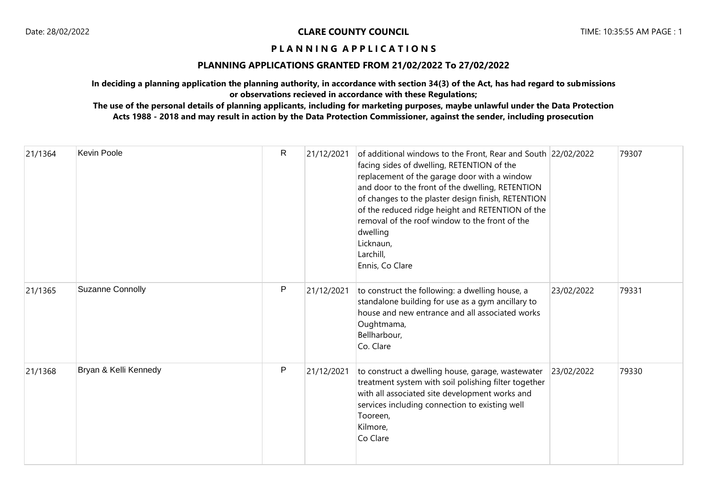## **PLANNING APPLICATIONS GRANTED FROM 21/02/2022 To 27/02/2022**

**In deciding a planning application the planning authority, in accordance with section 34(3) of the Act, has had regard to submissions or observations recieved in accordance with these Regulations;**

| 21/1364 | Kevin Poole             | $\mathsf{R}$ | 21/12/2021 | of additional windows to the Front, Rear and South 22/02/2022<br>facing sides of dwelling, RETENTION of the<br>replacement of the garage door with a window<br>and door to the front of the dwelling, RETENTION<br>of changes to the plaster design finish, RETENTION<br>of the reduced ridge height and RETENTION of the<br>removal of the roof window to the front of the<br>dwelling<br>Licknaun,<br>Larchill,<br>Ennis, Co Clare |            | 79307 |
|---------|-------------------------|--------------|------------|--------------------------------------------------------------------------------------------------------------------------------------------------------------------------------------------------------------------------------------------------------------------------------------------------------------------------------------------------------------------------------------------------------------------------------------|------------|-------|
| 21/1365 | <b>Suzanne Connolly</b> | P            | 21/12/2021 | to construct the following: a dwelling house, a<br>standalone building for use as a gym ancillary to<br>house and new entrance and all associated works<br>Oughtmama,<br>Bellharbour,<br>Co. Clare                                                                                                                                                                                                                                   | 23/02/2022 | 79331 |
| 21/1368 | Bryan & Kelli Kennedy   | P            | 21/12/2021 | to construct a dwelling house, garage, wastewater<br>treatment system with soil polishing filter together<br>with all associated site development works and<br>services including connection to existing well<br>Tooreen,<br>Kilmore,<br>Co Clare                                                                                                                                                                                    | 23/02/2022 | 79330 |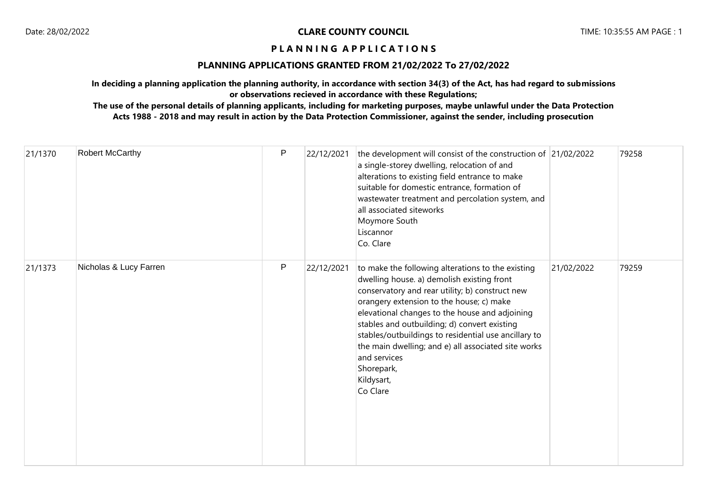#### **PLANNING APPLICATIONS GRANTED FROM 21/02/2022 To 27/02/2022**

**In deciding a planning application the planning authority, in accordance with section 34(3) of the Act, has had regard to submissions or observations recieved in accordance with these Regulations;**

| 21/1370 | Robert McCarthy        | P | 22/12/2021 | the development will consist of the construction of 21/02/2022<br>a single-storey dwelling, relocation of and<br>alterations to existing field entrance to make<br>suitable for domestic entrance, formation of<br>wastewater treatment and percolation system, and<br>all associated siteworks<br>Moymore South<br>Liscannor<br>Co. Clare                                                                                                                              |            | 79258 |
|---------|------------------------|---|------------|-------------------------------------------------------------------------------------------------------------------------------------------------------------------------------------------------------------------------------------------------------------------------------------------------------------------------------------------------------------------------------------------------------------------------------------------------------------------------|------------|-------|
| 21/1373 | Nicholas & Lucy Farren | P | 22/12/2021 | to make the following alterations to the existing<br>dwelling house. a) demolish existing front<br>conservatory and rear utility; b) construct new<br>orangery extension to the house; c) make<br>elevational changes to the house and adjoining<br>stables and outbuilding; d) convert existing<br>stables/outbuildings to residential use ancillary to<br>the main dwelling; and e) all associated site works<br>and services<br>Shorepark,<br>Kildysart,<br>Co Clare | 21/02/2022 | 79259 |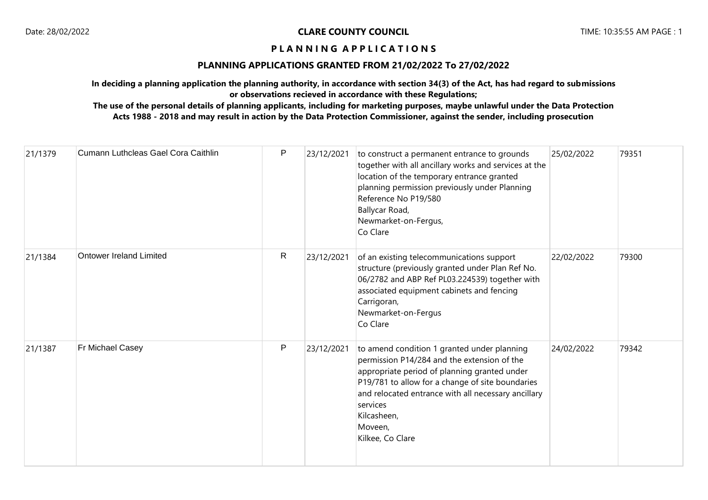## **PLANNING APPLICATIONS GRANTED FROM 21/02/2022 To 27/02/2022**

**In deciding a planning application the planning authority, in accordance with section 34(3) of the Act, has had regard to submissions or observations recieved in accordance with these Regulations;**

| 21/1379 | Cumann Luthcleas Gael Cora Caithlin | P       | 23/12/2021 | to construct a permanent entrance to grounds<br>together with all ancillary works and services at the<br>location of the temporary entrance granted<br>planning permission previously under Planning<br>Reference No P19/580<br>Ballycar Road,<br>Newmarket-on-Fergus,<br>Co Clare                              | 25/02/2022 | 79351 |
|---------|-------------------------------------|---------|------------|-----------------------------------------------------------------------------------------------------------------------------------------------------------------------------------------------------------------------------------------------------------------------------------------------------------------|------------|-------|
| 21/1384 | <b>Ontower Ireland Limited</b>      | R       | 23/12/2021 | of an existing telecommunications support<br>structure (previously granted under Plan Ref No.<br>06/2782 and ABP Ref PL03.224539) together with<br>associated equipment cabinets and fencing<br>Carrigoran,<br>Newmarket-on-Fergus<br>Co Clare                                                                  | 22/02/2022 | 79300 |
| 21/1387 | Fr Michael Casey                    | $\sf P$ | 23/12/2021 | to amend condition 1 granted under planning<br>permission P14/284 and the extension of the<br>appropriate period of planning granted under<br>P19/781 to allow for a change of site boundaries<br>and relocated entrance with all necessary ancillary<br>services<br>Kilcasheen,<br>Moveen,<br>Kilkee, Co Clare | 24/02/2022 | 79342 |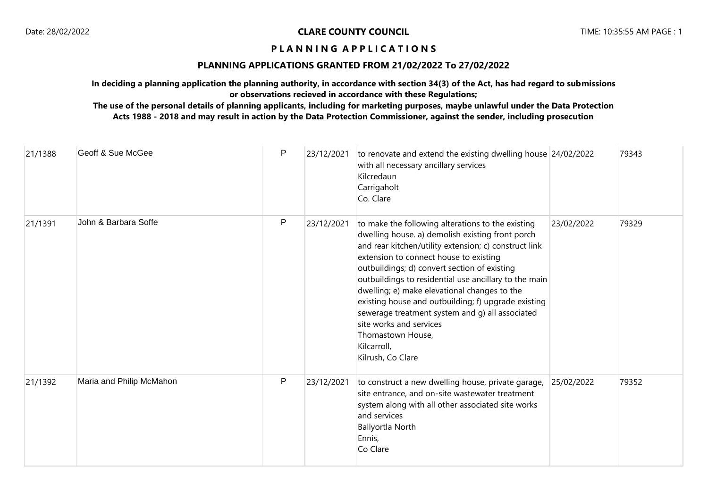## **PLANNING APPLICATIONS GRANTED FROM 21/02/2022 To 27/02/2022**

**In deciding a planning application the planning authority, in accordance with section 34(3) of the Act, has had regard to submissions or observations recieved in accordance with these Regulations;**

| 21/1388 | Geoff & Sue McGee        | P            | 23/12/2021 | to renovate and extend the existing dwelling house 24/02/2022<br>with all necessary ancillary services<br>Kilcredaun<br>Carrigaholt<br>Co. Clare                                                                                                                                                                                                                                                                                                                                                                                                                |            | 79343 |
|---------|--------------------------|--------------|------------|-----------------------------------------------------------------------------------------------------------------------------------------------------------------------------------------------------------------------------------------------------------------------------------------------------------------------------------------------------------------------------------------------------------------------------------------------------------------------------------------------------------------------------------------------------------------|------------|-------|
| 21/1391 | John & Barbara Soffe     | $\mathsf{P}$ | 23/12/2021 | to make the following alterations to the existing<br>dwelling house. a) demolish existing front porch<br>and rear kitchen/utility extension; c) construct link<br>extension to connect house to existing<br>outbuildings; d) convert section of existing<br>outbuildings to residential use ancillary to the main<br>dwelling; e) make elevational changes to the<br>existing house and outbuilding; f) upgrade existing<br>sewerage treatment system and g) all associated<br>site works and services<br>Thomastown House,<br>Kilcarroll,<br>Kilrush, Co Clare | 23/02/2022 | 79329 |
| 21/1392 | Maria and Philip McMahon | P            | 23/12/2021 | to construct a new dwelling house, private garage,<br>site entrance, and on-site wastewater treatment<br>system along with all other associated site works<br>and services<br><b>Ballyortla North</b><br>Ennis,<br>Co Clare                                                                                                                                                                                                                                                                                                                                     | 25/02/2022 | 79352 |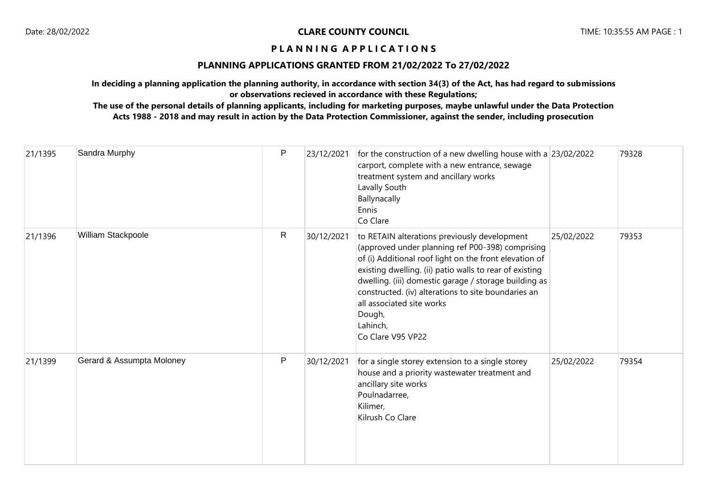## **PLANNING APPLICATIONS GRANTED FROM 21/02/2022 To 27/02/2022**

**In deciding a planning application the planning authority, in accordance with section 34(3) of the Act, has had regard to submissions or observations recieved in accordance with these Regulations;**

| 21/1395 | Sandra Murphy             | P            | 23/12/2021 | for the construction of a new dwelling house with a 23/02/2022<br>carport, complete with a new entrance, sewage<br>treatment system and ancillary works<br>Lavally South<br>Ballynacally<br>Ennis<br>Co Clare                                                                                                                                                                                                 |            | 79328 |
|---------|---------------------------|--------------|------------|---------------------------------------------------------------------------------------------------------------------------------------------------------------------------------------------------------------------------------------------------------------------------------------------------------------------------------------------------------------------------------------------------------------|------------|-------|
| 21/1396 | William Stackpoole        | R            | 30/12/2021 | to RETAIN alterations previously development<br>(approved under planning ref P00-398) comprising<br>of (i) Additional roof light on the front elevation of<br>existing dwelling. (ii) patio walls to rear of existing<br>dwelling. (iii) domestic garage / storage building as<br>constructed. (iv) alterations to site boundaries an<br>all associated site works<br>Dough,<br>Lahinch,<br>Co Clare V95 VP22 | 25/02/2022 | 79353 |
| 21/1399 | Gerard & Assumpta Moloney | $\mathsf{P}$ | 30/12/2021 | for a single storey extension to a single storey<br>house and a priority wastewater treatment and<br>ancillary site works<br>Poulnadarree,<br>Kilimer,<br>Kilrush Co Clare                                                                                                                                                                                                                                    | 25/02/2022 | 79354 |